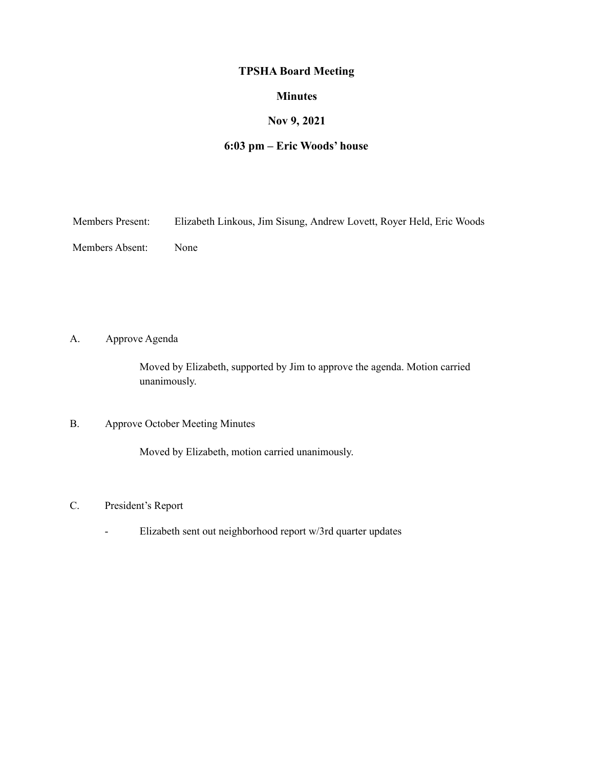# **TPSHA Board Meeting**

### **Minutes**

# **Nov 9, 2021**

### **6:03 pm – Eric Woods' house**

Members Present: Elizabeth Linkous, Jim Sisung, Andrew Lovett, Royer Held, Eric Woods

Members Absent: None

A. Approve Agenda

Moved by Elizabeth, supported by Jim to approve the agenda. Motion carried unanimously.

# B. Approve October Meeting Minutes

Moved by Elizabeth, motion carried unanimously.

### C. President's Report

- Elizabeth sent out neighborhood report w/3rd quarter updates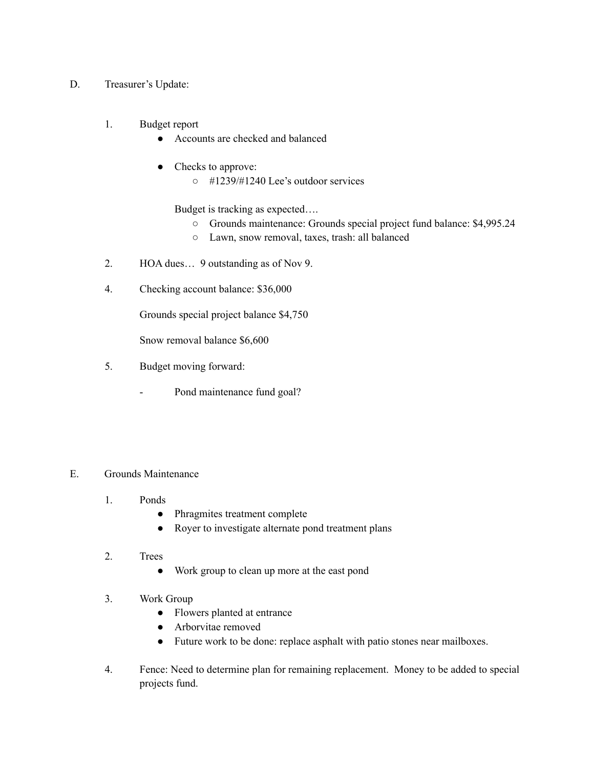- D. Treasurer's Update:
	- 1. Budget report
		- Accounts are checked and balanced
		- Checks to approve:
			- #1239/#1240 Lee's outdoor services

Budget is tracking as expected….

- Grounds maintenance: Grounds special project fund balance: \$4,995.24
- Lawn, snow removal, taxes, trash: all balanced
- 2. HOA dues… 9 outstanding as of Nov 9.
- 4. Checking account balance: \$36,000

Grounds special project balance \$4,750

Snow removal balance \$6,600

- 5. Budget moving forward:
	- Pond maintenance fund goal?

#### E. Grounds Maintenance

- 1. Ponds
	- Phragmites treatment complete
	- Royer to investigate alternate pond treatment plans
- 2. Trees
	- Work group to clean up more at the east pond
- 3. Work Group
	- Flowers planted at entrance
	- Arborvitae removed
	- Future work to be done: replace asphalt with patio stones near mailboxes.
- 4. Fence: Need to determine plan for remaining replacement. Money to be added to special projects fund.